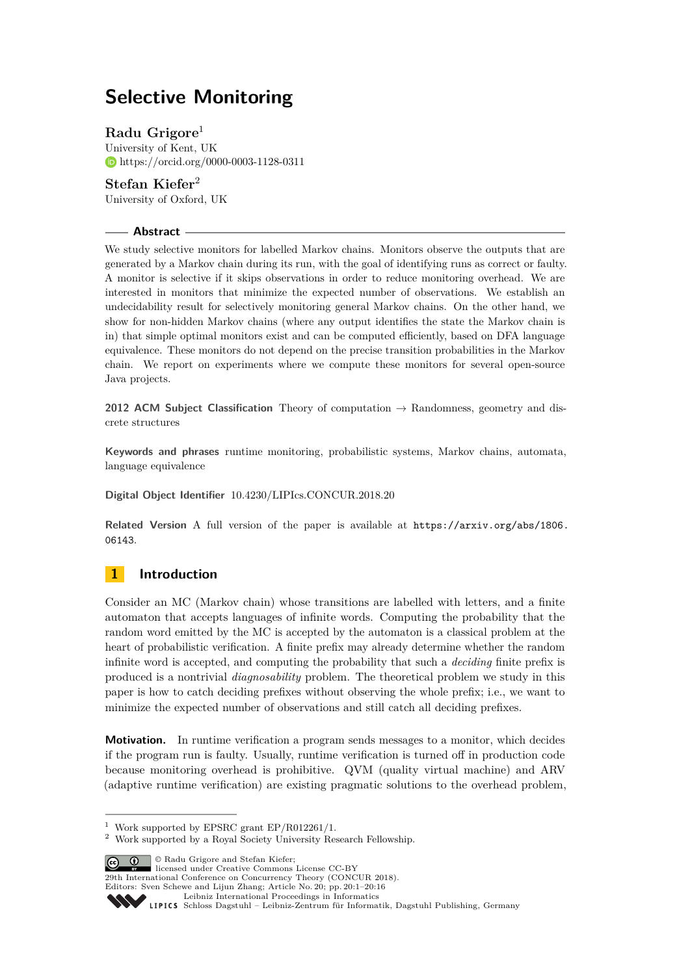# **Selective Monitoring**

## **Radu Grigore**<sup>1</sup>

University of Kent, UK <https://orcid.org/0000-0003-1128-0311>

## **Stefan Kiefer**<sup>2</sup>

University of Oxford, UK

## **Abstract**

We study selective monitors for labelled Markov chains. Monitors observe the outputs that are generated by a Markov chain during its run, with the goal of identifying runs as correct or faulty. A monitor is selective if it skips observations in order to reduce monitoring overhead. We are interested in monitors that minimize the expected number of observations. We establish an undecidability result for selectively monitoring general Markov chains. On the other hand, we show for non-hidden Markov chains (where any output identifies the state the Markov chain is in) that simple optimal monitors exist and can be computed efficiently, based on DFA language equivalence. These monitors do not depend on the precise transition probabilities in the Markov chain. We report on experiments where we compute these monitors for several open-source Java projects.

**2012 ACM Subject Classification** Theory of computation → Randomness, geometry and discrete structures

**Keywords and phrases** runtime monitoring, probabilistic systems, Markov chains, automata, language equivalence

## **Digital Object Identifier** [10.4230/LIPIcs.CONCUR.2018.20](http://dx.doi.org/10.4230/LIPIcs.CONCUR.2018.20)

**Related Version** A full version of the paper is available at [https://arxiv.org/abs/1806.](https://arxiv.org/abs/1806.06143) [06143](https://arxiv.org/abs/1806.06143).

## **1 Introduction**

Consider an MC (Markov chain) whose transitions are labelled with letters, and a finite automaton that accepts languages of infinite words. Computing the probability that the random word emitted by the MC is accepted by the automaton is a classical problem at the heart of probabilistic verification. A finite prefix may already determine whether the random infinite word is accepted, and computing the probability that such a *deciding* finite prefix is produced is a nontrivial *diagnosability* problem. The theoretical problem we study in this paper is how to catch deciding prefixes without observing the whole prefix; i.e., we want to minimize the expected number of observations and still catch all deciding prefixes.

**Motivation.** In runtime verification a program sends messages to a monitor, which decides if the program run is faulty. Usually, runtime verification is turned off in production code because monitoring overhead is prohibitive. QVM (quality virtual machine) and ARV (adaptive runtime verification) are existing pragmatic solutions to the overhead problem,

**C D C** Radu Grigore and Stefan Kiefer:

**29th International Conference on Concurrency Theory (CONCUR 2018).** 

<sup>&</sup>lt;sup>1</sup> Work supported by EPSRC grant EP/R012261/1.

<sup>2</sup> Work supported by a Royal Society University Research Fellowship.

Editors: Sven Schewe and Lijun Zhang; Article No. 20; pp. 20:1–20[:16](#page-15-0)

[Leibniz International Proceedings in Informatics](http://www.dagstuhl.de/lipics/)

Leibniz international ruceedings in miorimetric<br>
LIPICS [Schloss Dagstuhl – Leibniz-Zentrum für Informatik, Dagstuhl Publishing, Germany](http://www.dagstuhl.de)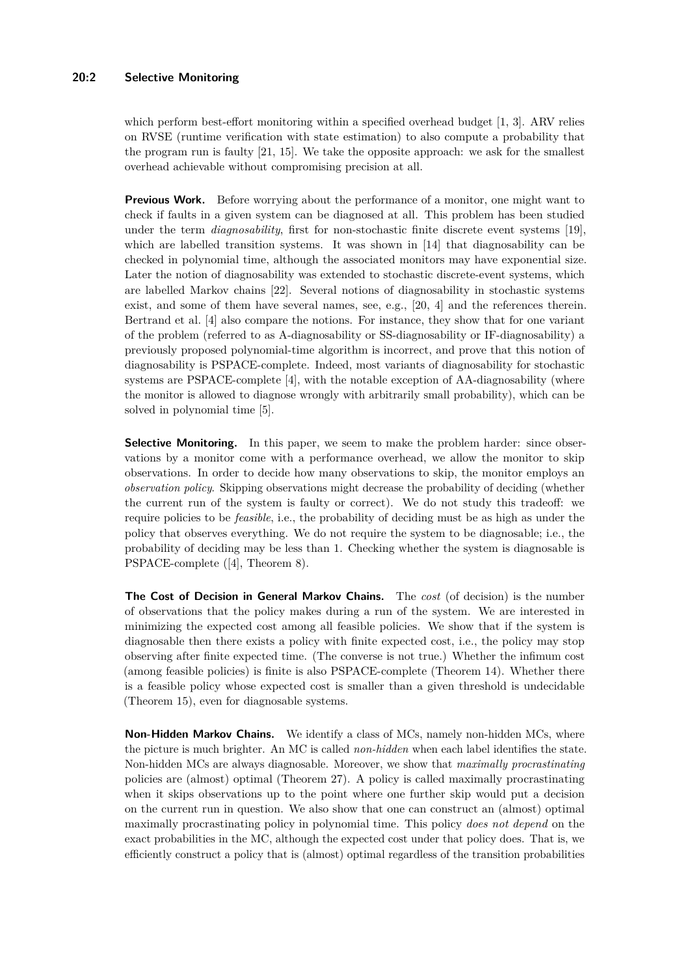## **20:2 Selective Monitoring**

which perform best-effort monitoring within a specified overhead budget [\[1,](#page-14-0) [3\]](#page-14-1). ARV relies on RVSE (runtime verification with state estimation) to also compute a probability that the program run is faulty [\[21,](#page-15-1) [15\]](#page-15-2). We take the opposite approach: we ask for the smallest overhead achievable without compromising precision at all.

**Previous Work.** Before worrying about the performance of a monitor, one might want to check if faults in a given system can be diagnosed at all. This problem has been studied under the term *diagnosability*, first for non-stochastic finite discrete event systems [\[19\]](#page-15-3), which are labelled transition systems. It was shown in [\[14\]](#page-15-4) that diagnosability can be checked in polynomial time, although the associated monitors may have exponential size. Later the notion of diagnosability was extended to stochastic discrete-event systems, which are labelled Markov chains [\[22\]](#page-15-5). Several notions of diagnosability in stochastic systems exist, and some of them have several names, see, e.g., [\[20,](#page-15-6) [4\]](#page-14-2) and the references therein. Bertrand et al. [\[4\]](#page-14-2) also compare the notions. For instance, they show that for one variant of the problem (referred to as A-diagnosability or SS-diagnosability or IF-diagnosability) a previously proposed polynomial-time algorithm is incorrect, and prove that this notion of diagnosability is PSPACE-complete. Indeed, most variants of diagnosability for stochastic systems are PSPACE-complete [\[4\]](#page-14-2), with the notable exception of AA-diagnosability (where the monitor is allowed to diagnose wrongly with arbitrarily small probability), which can be solved in polynomial time [\[5\]](#page-14-3).

**Selective Monitoring.** In this paper, we seem to make the problem harder: since observations by a monitor come with a performance overhead, we allow the monitor to skip observations. In order to decide how many observations to skip, the monitor employs an *observation policy*. Skipping observations might decrease the probability of deciding (whether the current run of the system is faulty or correct). We do not study this tradeoff: we require policies to be *feasible*, i.e., the probability of deciding must be as high as under the policy that observes everything. We do not require the system to be diagnosable; i.e., the probability of deciding may be less than 1. Checking whether the system is diagnosable is PSPACE-complete ([\[4\]](#page-14-2), Theorem [8\)](#page-6-0).

**The Cost of Decision in General Markov Chains.** The *cost* (of decision) is the number of observations that the policy makes during a run of the system. We are interested in minimizing the expected cost among all feasible policies. We show that if the system is diagnosable then there exists a policy with finite expected cost, i.e., the policy may stop observing after finite expected time. (The converse is not true.) Whether the infimum cost (among feasible policies) is finite is also PSPACE-complete (Theorem [14\)](#page-7-0). Whether there is a feasible policy whose expected cost is smaller than a given threshold is undecidable (Theorem [15\)](#page-7-1), even for diagnosable systems.

**Non-Hidden Markov Chains.** We identify a class of MCs, namely non-hidden MCs, where the picture is much brighter. An MC is called *non-hidden* when each label identifies the state. Non-hidden MCs are always diagnosable. Moreover, we show that *maximally procrastinating* policies are (almost) optimal (Theorem [27\)](#page-11-0). A policy is called maximally procrastinating when it skips observations up to the point where one further skip would put a decision on the current run in question. We also show that one can construct an (almost) optimal maximally procrastinating policy in polynomial time. This policy *does not depend* on the exact probabilities in the MC, although the expected cost under that policy does. That is, we efficiently construct a policy that is (almost) optimal regardless of the transition probabilities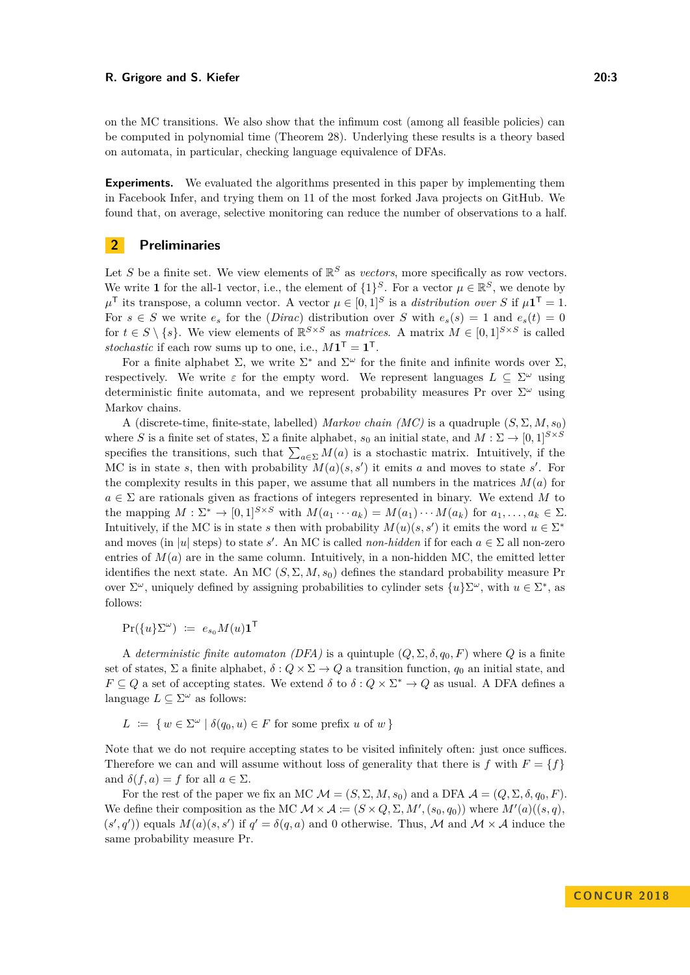on the MC transitions. We also show that the infimum cost (among all feasible policies) can be computed in polynomial time (Theorem [28\)](#page-11-1). Underlying these results is a theory based on automata, in particular, checking language equivalence of DFAs.

**Experiments.** We evaluated the algorithms presented in this paper by implementing them in Facebook Infer, and trying them on 11 of the most forked Java projects on GitHub. We found that, on average, selective monitoring can reduce the number of observations to a half.

## **2 Preliminaries**

Let S be a finite set. We view elements of  $\mathbb{R}^S$  as *vectors*, more specifically as row vectors. We write **1** for the all-1 vector, i.e., the element of  $\{1\}^S$ . For a vector  $\mu \in \mathbb{R}^S$ , we denote by  $\mu^{\mathsf{T}}$  its transpose, a column vector. A vector  $\mu \in [0,1]^S$  is a *distribution over S* if  $\mu \mathbf{1}^{\mathsf{T}} = 1$ . For  $s \in S$  we write  $e_s$  for the (*Dirac*) distribution over *S* with  $e_s(s) = 1$  and  $e_s(t) = 0$ for  $t \in S \setminus \{s\}$ . We view elements of  $\mathbb{R}^{S \times S}$  as *matrices*. A matrix  $M \in [0,1]^{S \times S}$  is called stochastic if each row sums up to one, i.e.,  $M\mathbf{1}^{\mathsf{T}} = \mathbf{1}^{\mathsf{T}}$ .

For a finite alphabet  $\Sigma$ , we write  $\Sigma^*$  and  $\Sigma^{\omega}$  for the finite and infinite words over  $\Sigma$ , respectively. We write  $\varepsilon$  for the empty word. We represent languages  $L \subseteq \Sigma^{\omega}$  using deterministic finite automata, and we represent probability measures Pr over Σ *<sup>ω</sup>* using Markov chains.

A (discrete-time, finite-state, labelled) *Markov chain (MC)* is a quadruple  $(S, \Sigma, M, s_0)$ where *S* is a finite set of states,  $\Sigma$  a finite alphabet,  $s_0$  an initial state, and  $M : \Sigma \to [0,1]^{S \times S}$ specifies the transitions, such that  $\sum_{a \in \Sigma} M(a)$  is a stochastic matrix. Intuitively, if the MC is in state *s*, then with probability  $M(a)(s, s')$  it emits *a* and moves to state *s'*. For the complexity results in this paper, we assume that all numbers in the matrices  $M(a)$  for *a* ∈ Σ are rationals given as fractions of integers represented in binary. We extend *M* to the mapping  $M : \Sigma^* \to [0,1]^{S \times S}$  with  $M(a_1 \cdots a_k) = M(a_1) \cdots M(a_k)$  for  $a_1, \ldots, a_k \in \Sigma$ . Intuitively, if the MC is in state *s* then with probability  $M(u)(s, s')$  it emits the word  $u \in \Sigma^*$ and moves (in |*u*| steps) to state *s'*. An MC is called *non-hidden* if for each  $a \in \Sigma$  all non-zero entries of  $M(a)$  are in the same column. Intuitively, in a non-hidden MC, the emitted letter identifies the next state. An MC  $(S, \Sigma, M, s_0)$  defines the standard probability measure Pr over  $\Sigma^{\omega}$ , uniquely defined by assigning probabilities to cylinder sets  $\{u\}\Sigma^{\omega}$ , with  $u \in \Sigma^*$ , as follows:

 $\Pr(\{u\}\Sigma^{\omega}) \coloneqq e_{s_0}M(u)\mathbf{1}^{\mathsf{T}}$ 

A *deterministic finite automaton (DFA)* is a quintuple  $(Q, \Sigma, \delta, q_0, F)$  where  $Q$  is a finite set of states,  $\Sigma$  a finite alphabet,  $\delta: Q \times \Sigma \to Q$  a transition function,  $q_0$  an initial state, and  $F \subseteq Q$  a set of accepting states. We extend  $\delta$  to  $\delta: Q \times \Sigma^* \to Q$  as usual. A DFA defines a language  $L \subseteq \Sigma^{\omega}$  as follows:

 $L := \{ w \in \Sigma^{\omega} \mid \delta(q_0, u) \in F \text{ for some prefix } u \text{ of } w \}$ 

Note that we do not require accepting states to be visited infinitely often: just once suffices. Therefore we can and will assume without loss of generality that there is  $f$  with  $F = \{f\}$ and  $\delta(f, a) = f$  for all  $a \in \Sigma$ .

For the rest of the paper we fix an MC  $\mathcal{M} = (S, \Sigma, M, s_0)$  and a DFA  $\mathcal{A} = (Q, \Sigma, \delta, q_0, F)$ . We define their composition as the MC  $\mathcal{M} \times \mathcal{A} := (S \times Q, \Sigma, M', (s_0, q_0))$  where  $M'(a)((s, q),$  $(s', q')$  equals  $M(a)(s, s')$  if  $q' = \delta(q, a)$  and 0 otherwise. Thus, M and  $M \times A$  induce the same probability measure Pr.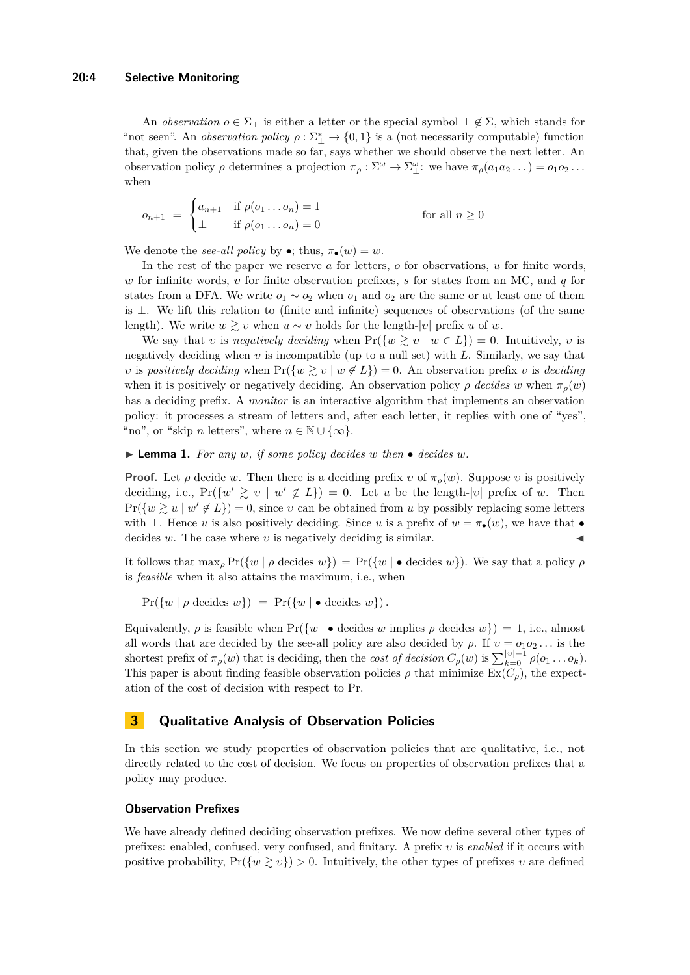#### **20:4 Selective Monitoring**

An *observation*  $o \in \Sigma_{\perp}$  is either a letter or the special symbol  $\perp \notin \Sigma$ , which stands for "not seen". An *observation policy*  $\rho : \Sigma_{\perp}^* \to \{0,1\}$  is a (not necessarily computable) function that, given the observations made so far, says whether we should observe the next letter. An observation policy  $\rho$  determines a projection  $\pi_{\rho}: \Sigma^{\omega} \to \Sigma_{\perp}^{\omega}$ : we have  $\pi_{\rho}(a_1 a_2 \dots) = o_1 o_2 \dots$ when

$$
o_{n+1} = \begin{cases} a_{n+1} & \text{if } \rho(o_1 \dots o_n) = 1 \\ \perp & \text{if } \rho(o_1 \dots o_n) = 0 \end{cases}
$$
 for all  $n \ge 0$ 

We denote the *see-all policy* by  $\bullet$ ; thus,  $\pi_{\bullet}(w) = w$ .

In the rest of the paper we reserve *a* for letters, *o* for observations, *u* for finite words, *w* for infinite words, *υ* for finite observation prefixes, *s* for states from an MC, and *q* for states from a DFA. We write *o*<sup>1</sup> ∼ *o*<sup>2</sup> when *o*<sup>1</sup> and *o*<sup>2</sup> are the same or at least one of them is  $\perp$ . We lift this relation to (finite and infinite) sequences of observations (of the same length). We write  $w \geq v$  when  $u \sim v$  holds for the length-|v| prefix u of w.

We say that *v* is *negatively deciding* when  $Pr({w \geq v \mid w \in L}) = 0$ . Intuitively, *v* is negatively deciding when *υ* is incompatible (up to a null set) with *L*. Similarly, we say that *υ* is *positively deciding* when  $Pr({w \geq v | w \notin L}) = 0$ . An observation prefix *v* is *deciding* when it is positively or negatively deciding. An observation policy  $\rho$  *decides w* when  $\pi$ <sup>*ρ*</sup>(*w*) has a deciding prefix. A *monitor* is an interactive algorithm that implements an observation policy: it processes a stream of letters and, after each letter, it replies with one of "yes", "no", or "skip *n* letters", where  $n \in \mathbb{N} \cup \{\infty\}.$ 

<span id="page-3-0"></span> $\blacktriangleright$  **Lemma 1.** For any *w*, *if some policy decides w then*  $\blacktriangleright$  *decides w.* 

**Proof.** Let *ρ* decide *w*. Then there is a deciding prefix *v* of  $\pi$ <sub>*ρ*</sub>(*w*). Suppose *v* is positively deciding, i.e.,  $Pr({w' \geq v \mid w' \notin L}) = 0$ . Let *u* be the length-|*v*| prefix of *w*. Then  $Pr({w \geq u \mid w' \notin L}) = 0$ , since *v* can be obtained from *u* by possibly replacing some letters with  $\perp$ . Hence *u* is also positively deciding. Since *u* is a prefix of  $w = \pi_{\bullet}(w)$ , we have that  $\bullet$ decides  $w$ . The case where  $v$  is negatively deciding is similar.

It follows that  $\max_{\rho} \Pr(\{w \mid \rho \text{ decides } w\}) = \Pr(\{w \mid \bullet \text{ decides } w\})$ . We say that a policy  $\rho$ is *feasible* when it also attains the maximum, i.e., when

 $Pr({w | \rho \text{ decides } w}) = Pr({w | \bullet \text{ decides } w}).$ 

Equivalently,  $\rho$  is feasible when  $Pr({w \mid \bullet \text{ decides } w \text{ implies } \rho \text{ decides } w}) = 1$ , i.e., almost all words that are decided by the see-all policy are also decided by  $\rho$ . If  $v = o_1 o_2 \ldots$  is the shortest prefix of  $\pi_{\rho}(w)$  that is deciding, then the *cost of decision*  $C_{\rho}(w)$  is  $\sum_{k=0}^{|v|-1} \rho(o_1 \ldots o_k)$ . This paper is about finding feasible observation policies  $\rho$  that minimize  $\text{Ex}(C_{\rho})$ , the expectation of the cost of decision with respect to Pr.

## **3 Qualitative Analysis of Observation Policies**

In this section we study properties of observation policies that are qualitative, i.e., not directly related to the cost of decision. We focus on properties of observation prefixes that a policy may produce.

## **Observation Prefixes**

We have already defined deciding observation prefixes. We now define several other types of prefixes: enabled, confused, very confused, and finitary. A prefix *υ* is *enabled* if it occurs with positive probability,  $Pr({w \geq v}) > 0$ . Intuitively, the other types of prefixes *v* are defined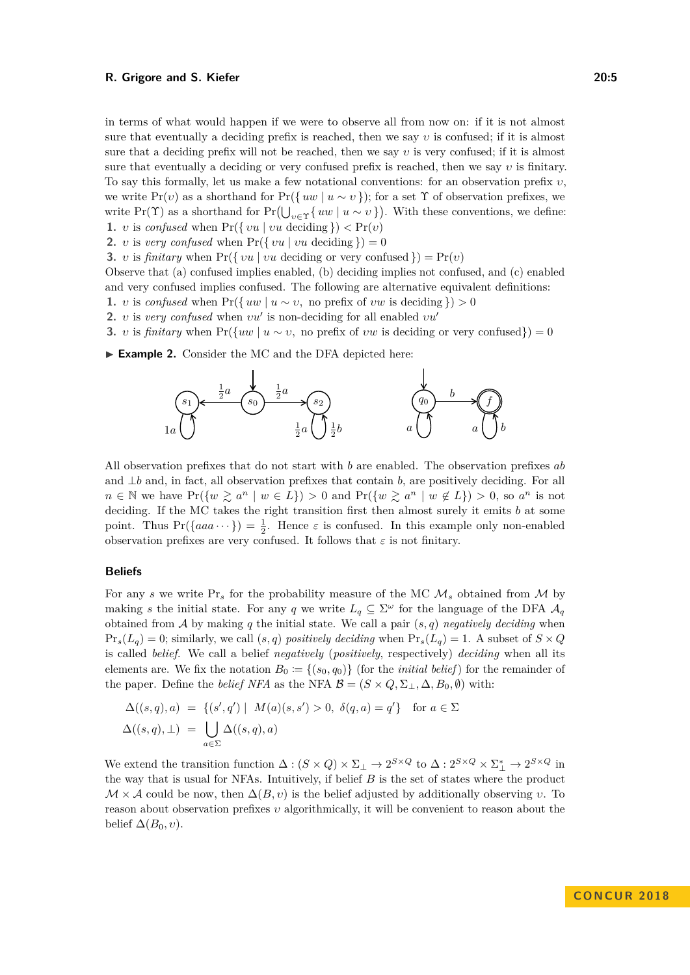in terms of what would happen if we were to observe all from now on: if it is not almost sure that eventually a deciding prefix is reached, then we say *υ* is confused; if it is almost sure that a deciding prefix will not be reached, then we say *υ* is very confused; if it is almost sure that eventually a deciding or very confused prefix is reached, then we say *υ* is finitary. To say this formally, let us make a few notational conventions: for an observation prefix *υ*, we write  $Pr(v)$  as a shorthand for  $Pr({w \mid u \sim v})$ ; for a set  $\Upsilon$  of observation prefixes, we write Pr( $\Upsilon$ ) as a shorthand for Pr( $\bigcup_{v \in \Upsilon} \{ uw \mid u \sim v \}$ ). With these conventions, we define: **1.** *υ* is *confused* when  $Pr({\{vu \mid vu \text{ deciding }\}) < Pr(v)$ 

- **2.** *υ* is *very confused* when  $Pr({\{vu | vu | vu\}}) = 0$
- **3.** *υ* is *finitary* when  $Pr({\{vu | vu | vu\}})$  deciding or very confused  $) = Pr(v)$

Observe that (a) confused implies enabled, (b) deciding implies not confused, and (c) enabled and very confused implies confused. The following are alternative equivalent definitions:

- **1.** *v* is *confused* when  $Pr({\{uw \mid u \sim v, \text{ no prefix of } vw \text{ is deciding }\}) > 0$
- **2.** *υ* is *very confused* when  $vu'$  is non-deciding for all enabled  $vu'$

3. v is *finitary* when 
$$
Pr({uw | u \sim v, no prefix of vw is deciding or very confused}) = 0
$$

<span id="page-4-0"></span>▶ Example 2. Consider the MC and the DFA depicted here:



All observation prefixes that do not start with *b* are enabled. The observation prefixes *ab* and ⊥*b* and, in fact, all observation prefixes that contain *b*, are positively deciding. For all  $n \in \mathbb{N}$  we have  $Pr(\{w \ge a^n \mid w \in L\}) > 0$  and  $Pr(\{w \ge a^n \mid w \notin L\}) > 0$ , so  $a^n$  is not deciding. If the MC takes the right transition first then almost surely it emits *b* at some point. Thus  $Pr({aaa \cdots}) = \frac{1}{2}$ . Hence  $\varepsilon$  is confused. In this example only non-enabled observation prefixes are very confused. It follows that  $\varepsilon$  is not finitary.

#### **Beliefs**

For any *s* we write  $Pr_s$  for the probability measure of the MC  $M_s$  obtained from M by making *s* the initial state. For any *q* we write  $L_q \subseteq \Sigma^\omega$  for the language of the DFA  $\mathcal{A}_q$ obtained from  $A$  by making  $q$  the initial state. We call a pair  $(s, q)$  *negatively deciding* when  $\Pr_s(L_q) = 0$ ; similarly, we call  $(s, q)$  *positively deciding* when  $\Pr_s(L_q) = 1$ . A subset of  $S \times Q$ is called *belief*. We call a belief *negatively* (*positively*, respectively) *deciding* when all its elements are. We fix the notation  $B_0 := \{(s_0, q_0)\}\$  (for the *initial belief*) for the remainder of the paper. Define the *belief NFA* as the NFA  $\mathcal{B} = (S \times Q, \Sigma_{\perp}, \Delta, B_0, \emptyset)$  with:

$$
\Delta((s,q),a) = \{(s',q') \mid M(a)(s,s') > 0, \ \delta(q,a) = q'\} \quad \text{for } a \in \Sigma
$$
  

$$
\Delta((s,q),\bot) = \bigcup_{a \in \Sigma} \Delta((s,q),a)
$$

We extend the transition function  $\Delta : (S \times Q) \times \Sigma_{\perp} \to 2^{S \times Q}$  to  $\Delta : 2^{S \times Q} \times \Sigma_{\perp}^* \to 2^{S \times Q}$  in the way that is usual for NFAs. Intuitively, if belief *B* is the set of states where the product  $M \times A$  could be now, then  $\Delta(B, v)$  is the belief adjusted by additionally observing *v*. To reason about observation prefixes *υ* algorithmically, it will be convenient to reason about the belief  $\Delta(B_0, v)$ .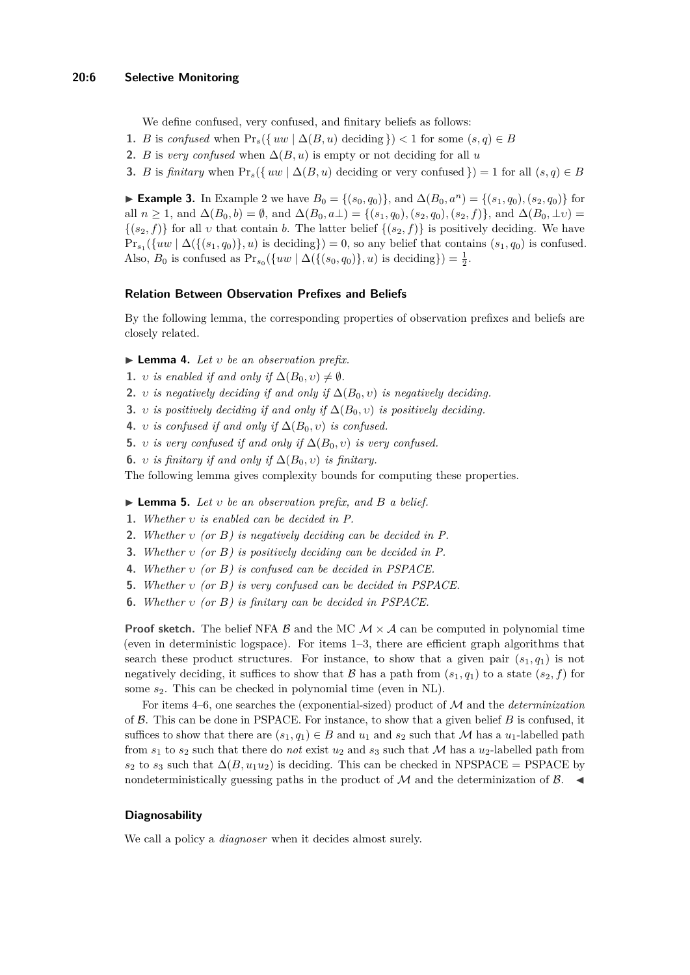We define confused, very confused, and finitary beliefs as follows:

- **1.** *B* is *confused* when  $Pr_s({\{uw \mid \Delta(B, u) \text{ deciding }\}) < 1$  for some  $(s, q) \in B$
- **2.** *B* is *very confused* when  $\Delta(B, u)$  is empty or not deciding for all *u*
- **3.** *B* is *finitary* when  $\Pr_s({\{uw \mid \Delta(B, u) \text{ deciding or very confused }\}) = 1$  for all  $(s, q) \in B$

► **Example 3.** In Example [2](#page-4-0) we have  $B_0 = \{(s_0, q_0)\}\)$ , and  $\Delta(B_0, a^n) = \{(s_1, q_0), (s_2, q_0)\}\)$  for all  $n \ge 1$ , and  $\Delta(B_0, b) = \emptyset$ , and  $\Delta(B_0, a\perp) = \{(s_1, q_0), (s_2, q_0), (s_2, f)\}\)$ , and  $\Delta(B_0, \perp \nu) =$  $\{(s_2, f)\}\$ for all *v* that contain *b*. The latter belief  $\{(s_2, f)\}\$ is positively deciding. We have  $\Pr_{s_1}(\{uw \mid \Delta(\{(s_1, q_0)\}, u) \text{ is deciding}\}) = 0$ , so any belief that contains  $(s_1, q_0)$  is confused. Also, *B*<sub>0</sub> is confused as  $Pr_{s_0}(\{uw \mid \Delta(\{(s_0, q_0)\}, u) \text{ is deciding}\}) = \frac{1}{2}$ .

#### **Relation Between Observation Prefixes and Beliefs**

By the following lemma, the corresponding properties of observation prefixes and beliefs are closely related.

- <span id="page-5-1"></span>I **Lemma 4.** *Let υ be an observation prefix.*
- **1.** *υ is enabled if and only if*  $\Delta(B_0, v) \neq \emptyset$ *.*
- **2.** *<i>v is negatively deciding if and only if*  $\Delta(B_0, v)$  *is negatively deciding.*
- **3.** *<i>υ is positively deciding if and only if*  $\Delta(B_0, v)$  *is positively deciding.*
- **4.** *v is confused if and only if*  $\Delta(B_0, v)$  *is confused.*
- **5.** *<i>υ is very confused if and only if*  $\Delta(B_0, v)$  *is very confused.*
- **6.** *υ is finitary if and only if*  $\Delta(B_0, v)$  *is finitary.*

<span id="page-5-0"></span>The following lemma gives complexity bounds for computing these properties.

I **Lemma 5.** *Let υ be an observation prefix, and B a belief.*

- **1.** *Whether υ is enabled can be decided in P.*
- **2.** *Whether υ (or B) is negatively deciding can be decided in P.*
- **3.** *Whether υ (or B) is positively deciding can be decided in P.*
- **4.** *Whether υ (or B) is confused can be decided in PSPACE.*
- **5.** *Whether υ (or B) is very confused can be decided in PSPACE.*
- **6.** *Whether υ (or B) is finitary can be decided in PSPACE.*

**Proof sketch.** The belief NFA  $\beta$  and the MC  $\mathcal{M} \times \mathcal{A}$  can be computed in polynomial time (even in deterministic logspace). For items 1–3, there are efficient graph algorithms that search these product structures. For instance, to show that a given pair  $(s_1, q_1)$  is not negatively deciding, it suffices to show that  $\beta$  has a path from  $(s_1, q_1)$  to a state  $(s_2, f)$  for some *s*2. This can be checked in polynomial time (even in NL).

For items 4–6, one searches the (exponential-sized) product of M and the *determinization* of B. This can be done in PSPACE. For instance, to show that a given belief *B* is confused, it suffices to show that there are  $(s_1, q_1) \in B$  and  $u_1$  and  $s_2$  such that M has a  $u_1$ -labelled path from  $s_1$  to  $s_2$  such that there do *not* exist  $u_2$  and  $s_3$  such that M has a  $u_2$ -labelled path from  $s_2$  to  $s_3$  such that  $\Delta(B, u_1u_2)$  is deciding. This can be checked in NPSPACE = PSPACE by nondeterministically guessing paths in the product of  $\mathcal M$  and the determinization of  $\mathcal B$ .

### **Diagnosability**

We call a policy a *diagnoser* when it decides almost surely.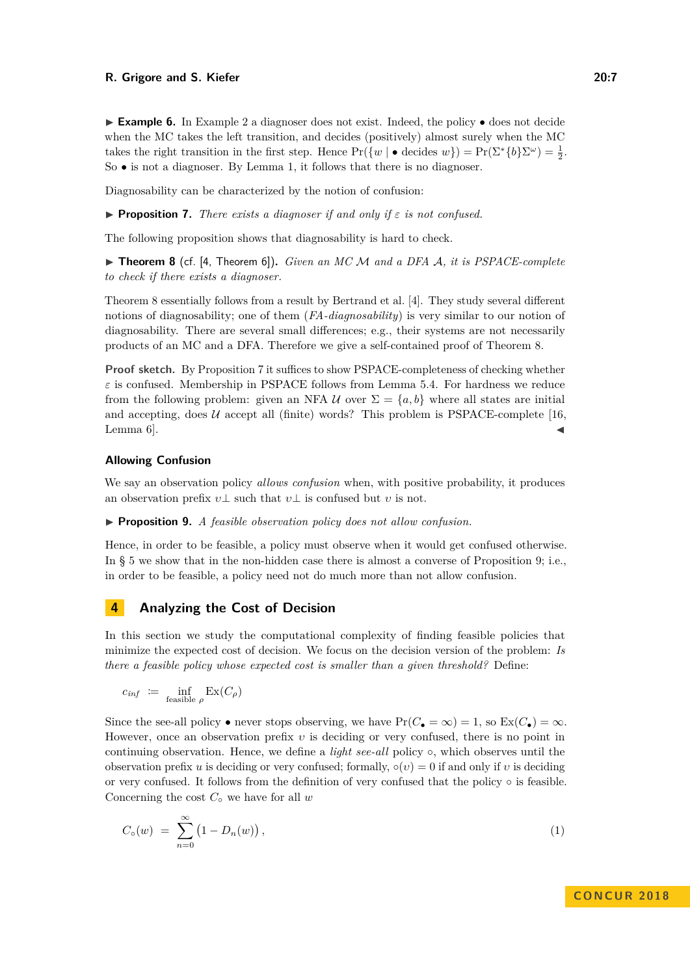► **Example 6.** In Example [2](#page-4-0) a diagnoser does not exist. Indeed, the policy • does not decide when the MC takes the left transition, and decides (positively) almost surely when the MC takes the right transition in the first step. Hence  $Pr({w \mid \bullet \text{ decides } w}) = Pr(\Sigma^*{{b}}\Sigma^{\omega}) = \frac{1}{2}$ . So • is not a diagnoser. By Lemma [1,](#page-3-0) it follows that there is no diagnoser.

<span id="page-6-1"></span>Diagnosability can be characterized by the notion of confusion:

**Proposition 7.** *There exists a diagnoser if and only if*  $\varepsilon$  *is not confused.* 

<span id="page-6-0"></span>The following proposition shows that diagnosability is hard to check.

I **Theorem 8** (cf. [\[4,](#page-14-2) Theorem 6])**.** *Given an MC* M *and a DFA* A*, it is PSPACE-complete to check if there exists a diagnoser.*

Theorem [8](#page-6-0) essentially follows from a result by Bertrand et al. [\[4\]](#page-14-2). They study several different notions of diagnosability; one of them (*FA-diagnosability*) is very similar to our notion of diagnosability. There are several small differences; e.g., their systems are not necessarily products of an MC and a DFA. Therefore we give a self-contained proof of Theorem [8.](#page-6-0)

**Proof sketch.** By Proposition [7](#page-6-1) it suffices to show PSPACE-completeness of checking whether  $\varepsilon$  is confused. Membership in PSPACE follows from Lemma [5.](#page-5-0)4. For hardness we reduce from the following problem: given an NFA  $U$  over  $\Sigma = \{a, b\}$  where all states are initial and accepting, does  $U$  accept all (finite) words? This problem is PSPACE-complete [\[16,](#page-15-7) Lemma  $6$ ].

#### **Allowing Confusion**

We say an observation policy *allows confusion* when, with positive probability, it produces an observation prefix  $v\bot$  such that  $v\bot$  is confused but *v* is not.

<span id="page-6-2"></span>I **Proposition 9.** *A feasible observation policy does not allow confusion.*

Hence, in order to be feasible, a policy must observe when it would get confused otherwise. In § [5](#page-7-2) we show that in the non-hidden case there is almost a converse of Proposition [9;](#page-6-2) i.e., in order to be feasible, a policy need not do much more than not allow confusion.

## **4 Analyzing the Cost of Decision**

In this section we study the computational complexity of finding feasible policies that minimize the expected cost of decision. We focus on the decision version of the problem: *Is there a feasible policy whose expected cost is smaller than a given threshold?* Define:

$$
c_{\mathit{inf}} \ := \ \inf_{\text{feasible } \rho} \, \mathrm{Ex}(C_\rho)
$$

Since the see-all policy • never stops observing, we have  $Pr(C_{\bullet} = \infty) = 1$ , so  $Ex(C_{\bullet}) = \infty$ . However, once an observation prefix *υ* is deciding or very confused, there is no point in continuing observation. Hence, we define a *light see-all* policy ◦, which observes until the observation prefix *u* is deciding or very confused; formally,  $\circ(v) = 0$  if and only if *v* is deciding or very confused. It follows from the definition of very confused that the policy ◦ is feasible. Concerning the cost *C*◦ we have for all *w*

$$
C_{\circ}(w) = \sum_{n=0}^{\infty} (1 - D_n(w)), \qquad (1)
$$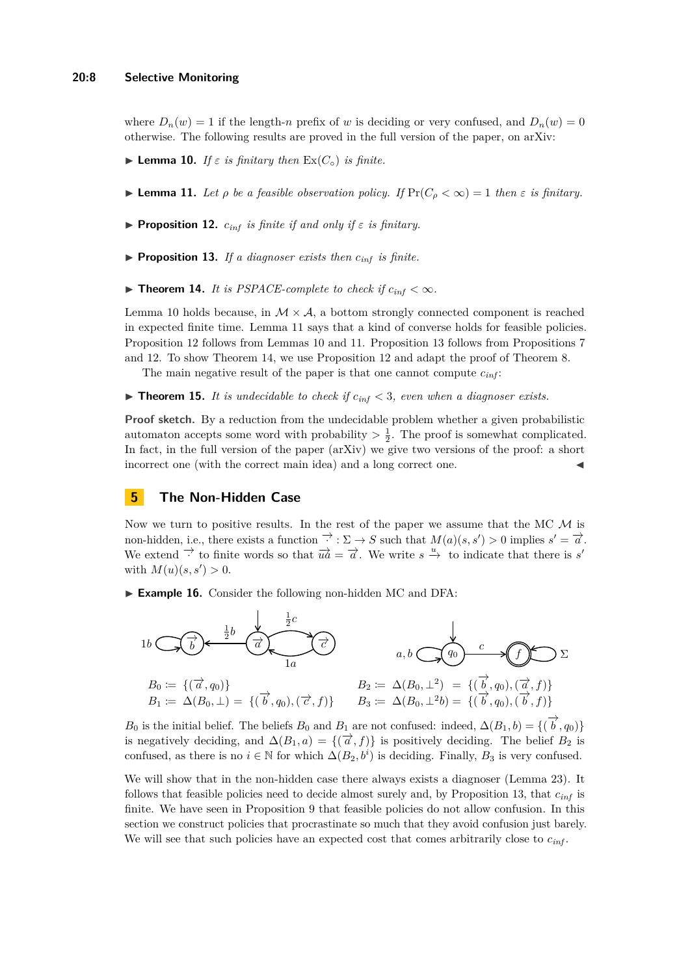where  $D_n(w) = 1$  if the length-*n* prefix of *w* is deciding or very confused, and  $D_n(w) = 0$ otherwise. The following results are proved in the full version of the paper, on [arXiv:](https://arxiv.org/abs/1806.06143)

- <span id="page-7-4"></span><span id="page-7-3"></span>**Example 10.** *If*  $\varepsilon$  *is finitary then*  $\operatorname{Ex}(C_{\circ})$  *is finite.*
- <span id="page-7-5"></span>**Lemma 11.** *Let*  $\rho$  *be a feasible observation policy. If*  $\Pr(C_{\rho} < \infty) = 1$  *then*  $\varepsilon$  *is finitary.*
- <span id="page-7-6"></span>**Proposition 12.**  $c_{inf}$  *is finite if and only if*  $\varepsilon$  *is finitary.*
- <span id="page-7-0"></span> $\triangleright$  **Proposition 13.** *If a diagnoser exists then*  $c_{\text{inf}}$  *is finite.*
- ▶ **Theorem 14.** *It is PSPACE-complete to check if*  $c_{inf} < \infty$ *.*

Lemma [10](#page-7-3) holds because, in  $M \times A$ , a bottom strongly connected component is reached in expected finite time. Lemma [11](#page-7-4) says that a kind of converse holds for feasible policies. Proposition [12](#page-7-5) follows from Lemmas [10](#page-7-3) and [11.](#page-7-4) Proposition [13](#page-7-6) follows from Propositions [7](#page-6-1) and [12.](#page-7-5) To show Theorem [14,](#page-7-0) we use Proposition [12](#page-7-5) and adapt the proof of Theorem [8.](#page-6-0)

The main negative result of the paper is that one cannot compute *cinf* :

<span id="page-7-1"></span> $\triangleright$  **Theorem 15.** *It is undecidable to check if*  $c_{inf} < 3$ *, even when a diagnoser exists.* 

**Proof sketch.** By a reduction from the undecidable problem whether a given probabilistic automaton accepts some word with probability  $> \frac{1}{2}$ . The proof is somewhat complicated. In fact, in the full version of the paper [\(arXiv\)](https://arxiv.org/abs/1806.06143) we give two versions of the proof: a short incorrect one (with the correct main idea) and a long correct one.

## <span id="page-7-2"></span>**5 The Non-Hidden Case**

Now we turn to positive results. In the rest of the paper we assume that the MC  $M$  is non-hidden, i.e., there exists a function  $\overrightarrow{\cdot}$ :  $\Sigma \rightarrow S$  such that  $M(a)(s, s') > 0$  implies  $s' = \overrightarrow{a}$ . We extend  $\Rightarrow$  to finite words so that  $\overrightarrow{ua} = \overrightarrow{a}$ . We write  $s \stackrel{u}{\rightarrow}$  to indicate that there is *s'* with  $M(u)(s, s') > 0$ .

<span id="page-7-7"></span>► Example 16. Consider the following non-hidden MC and DFA:



*B*<sub>0</sub> is the initial belief. The beliefs *B*<sub>0</sub> and *B*<sub>1</sub> are not confused: indeed,  $\Delta(B_1, b) = \{(\overrightarrow{b}, q_0)\}$ is negatively deciding, and  $\Delta(B_1, a) = \{(\vec{a}, f)\}\$ is positively deciding. The belief  $B_2$  is confused, as there is no  $i \in \mathbb{N}$  for which  $\Delta(B_2, b^i)$  is deciding. Finally,  $B_3$  is very confused.

We will show that in the non-hidden case there always exists a diagnoser (Lemma [23\)](#page-9-0). It follows that feasible policies need to decide almost surely and, by Proposition [13,](#page-7-6) that *cinf* is finite. We have seen in Proposition [9](#page-6-2) that feasible policies do not allow confusion. In this section we construct policies that procrastinate so much that they avoid confusion just barely. We will see that such policies have an expected cost that comes arbitrarily close to  $c_{inf}$ .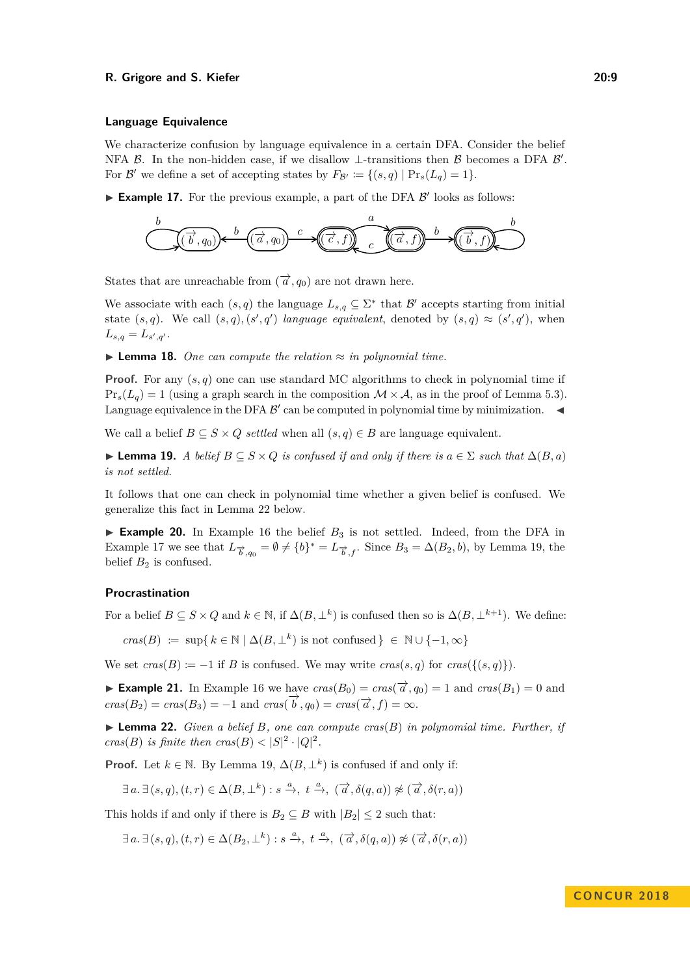#### **Language Equivalence**

We characterize confusion by language equivalence in a certain DFA. Consider the belief NFA  $\beta$ . In the non-hidden case, if we disallow  $\perp$ -transitions then  $\beta$  becomes a DFA  $\beta'$ . For  $\mathcal{B}'$  we define a set of accepting states by  $F_{\mathcal{B}'} := \{(s,q) | \Pr_s(L_q) = 1\}.$ 

<span id="page-8-1"></span> $\blacktriangleright$  **Example 17.** For the previous example, a part of the DFA  $\beta'$  looks as follows:

$$
\underbrace{\left(\overrightarrow{b},q_0\right)}\leftarrow\underbrace{\left(\overrightarrow{a},q_0\right)}\xrightarrow{c}\underbrace{\left(\overrightarrow{c},f\right)}\xrightarrow{c}\underbrace{\left(\overrightarrow{a},f\right)}\xrightarrow{b}\underbrace{\left(\overrightarrow{b},f\right)}\xrightarrow{b}
$$

States that are unreachable from  $(\overrightarrow{a}, q_0)$  are not drawn here.

We associate with each  $(s, q)$  the language  $L_{s,q} \subseteq \Sigma^*$  that  $\mathcal{B}'$  accepts starting from initial state  $(s, q)$ . We call  $(s, q)$ ,  $(s', q')$  *language equivalent*, denoted by  $(s, q) \approx (s', q')$ , when  $L_{s,q} = L_{s',q'}$ .

<span id="page-8-3"></span>**► Lemma 18.** *One can compute the relation*  $\approx$  *in polynomial time.* 

**Proof.** For any  $(s, q)$  one can use standard MC algorithms to check in polynomial time if  $Pr_s(L_q) = 1$  (using a graph search in the composition  $\mathcal{M} \times \mathcal{A}$ , as in the proof of Lemma [5.](#page-5-0)3). Language equivalence in the DFA  $\mathcal{B}'$  can be computed in polynomial time by minimization.

We call a belief  $B \subseteq S \times Q$  *settled* when all  $(s, q) \in B$  are language equivalent.

<span id="page-8-2"></span>**► Lemma 19.** *A belief*  $B \subseteq S \times Q$  *is confused if and only if there is*  $a \in \Sigma$  *such that*  $\Delta(B, a)$ *is not settled.*

It follows that one can check in polynomial time whether a given belief is confused. We generalize this fact in Lemma [22](#page-8-0) below.

**Example 20.** In Example [16](#page-7-7) the belief  $B_3$  is not settled. Indeed, from the DFA in Example [17](#page-8-1) we see that  $L_{\vec{b},q_0} = \emptyset \neq \{b\}^* = L_{\vec{b},f}$ . Since  $B_3 = \Delta(B_2, b)$ , by Lemma [19,](#page-8-2) the belief  $B_2$  is confused.

## **Procrastination**

For a belief  $B \subseteq S \times Q$  and  $k \in \mathbb{N}$ , if  $\Delta(B, \perp^k)$  is confused then so is  $\Delta(B, \perp^{k+1})$ . We define:

 $c\text{ras}(B) := \sup\{k \in \mathbb{N} \mid \Delta(B, \perp^k) \text{ is not confused}\}\in \mathbb{N} \cup \{-1, \infty\}$ 

We set  $cras(B) := -1$  if *B* is confused. We may write  $cras(s, q)$  for  $cras({(s, q)}).$ 

► **Example 21.** In Example [16](#page-7-7) we have  $cras(B_0) = cras(\vec{\alpha}, q_0) = 1$  and  $cras(B_1) = 0$  and  $\vec{cos}(B_2) = \text{c} \cdot \vec{cos}(B_3) = -1$  and  $\text{c} \cdot \vec{cos}(\vec{b}, q_0) = \text{c} \cdot \vec{cos}(\vec{a}, f) = \infty$ .

<span id="page-8-0"></span> $\blacktriangleright$  **Lemma 22.** *Given a belief B, one can compute cras(B) in polynomial time. Further, if cras*(*B*) *is finite then*  $cras(B) < |S|^2 \cdot |Q|^2$ .

**Proof.** Let  $k \in \mathbb{N}$ . By Lemma [19,](#page-8-2)  $\Delta(B, \perp^k)$  is confused if and only if:

$$
\exists a. \exists (s, q), (t, r) \in \Delta(B, \perp^k) : s \xrightarrow{a} t \xrightarrow{a} (\overrightarrow{a}, \delta(q, a)) \not\approx (\overrightarrow{a}, \delta(r, a))
$$

This holds if and only if there is  $B_2 \subseteq B$  with  $|B_2| \leq 2$  such that:

 $\exists a.\ \exists (s,q),(t,r) \in \Delta(B_2,\perp^k): s \xrightarrow{a} , t \xrightarrow{a} , (\overrightarrow{a},\delta(q,a)) \not\approx (\overrightarrow{a},\delta(r,a))$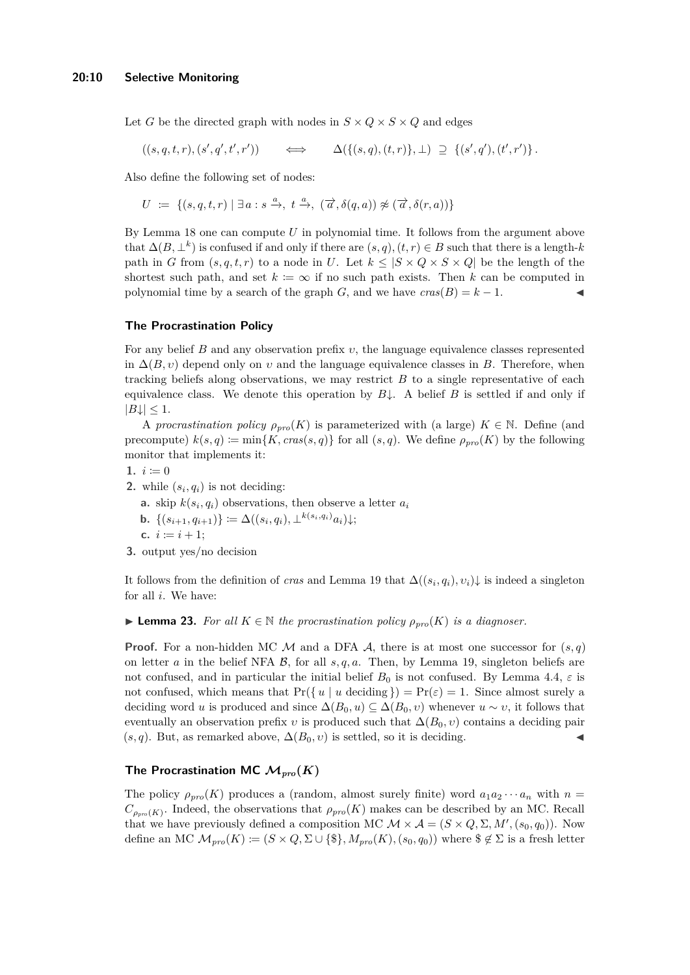Let *G* be the directed graph with nodes in  $S \times Q \times S \times Q$  and edges

 $((s, q, t, r), (s', q', t', r')$ ))  $\iff$   $\Delta({{(s,q),(t,r)}},\bot) \supseteq {(s',q'),(t',r')}$ .

Also define the following set of nodes:

 $U \coloneqq \{ (s, q, t, r) \mid \exists a : s \xrightarrow{a} , t \xrightarrow{a} , (\overrightarrow{a}, \delta(q, a)) \not\approx (\overrightarrow{a}, \delta(r, a)) \}$ 

By Lemma [18](#page-8-3) one can compute *U* in polynomial time. It follows from the argument above that  $\Delta(B, \perp^k)$  is confused if and only if there are  $(s, q), (t, r) \in B$  such that there is a length-*k* path in *G* from  $(s, q, t, r)$  to a node in *U*. Let  $k \leq |S \times Q \times S \times Q|$  be the length of the shortest such path, and set  $k := \infty$  if no such path exists. Then k can be computed in polynomial time by a search of the graph *G*, and we have  $cras(B) = k - 1$ .

## **The Procrastination Policy**

For any belief *B* and any observation prefix *υ*, the language equivalence classes represented in  $\Delta(B, v)$  depend only on *v* and the language equivalence classes in *B*. Therefore, when tracking beliefs along observations, we may restrict *B* to a single representative of each equivalence class. We denote this operation by  $B\downarrow$ . A belief *B* is settled if and only if  $|B\downarrow| \leq 1$ .

A *procrastination policy*  $\rho_{pro}(K)$  is parameterized with (a large)  $K \in \mathbb{N}$ . Define (and precompute)  $k(s, q) := min\{K, cras(s, q)\}\$ for all  $(s, q)$ . We define  $\rho_{pro}(K)$  by the following monitor that implements it:

- 1.  $i := 0$
- **2.** while  $(s_i, q_i)$  is not deciding:
	- **a.** skip  $k(s_i, q_i)$  observations, then observe a letter  $a_i$
	- $\mathbf{b.} \ \{(s_{i+1}, q_{i+1})\} \coloneqq \Delta((s_i, q_i), \bot^{k(s_i, q_i)} a_i)\downarrow;$
	- **c.**  $i := i + 1$ ;
- **3.** output yes/no decision

It follows from the definition of *cras* and Lemma [19](#page-8-2) that  $\Delta((s_i, q_i), v_i)$  is indeed a singleton for all *i*. We have:

<span id="page-9-0"></span>**► Lemma 23.** *For all*  $K \in \mathbb{N}$  *the procrastination policy*  $\rho_{pro}(K)$  *is a diagnoser.* 

**Proof.** For a non-hidden MC  $M$  and a DFA  $A$ , there is at most one successor for  $(s, q)$ on letter *a* in the belief NFA  $\beta$ , for all  $s, q, a$ . Then, by Lemma [19,](#page-8-2) singleton beliefs are not confused, and in particular the initial belief  $B_0$  is not confused. By Lemma [4.](#page-5-1)4,  $\varepsilon$  is not confused, which means that  $Pr({\{u \mid u \text{ deciding }\}) = Pr(\varepsilon) = 1.}$  Since almost surely a deciding word *u* is produced and since  $\Delta(B_0, u) \subseteq \Delta(B_0, v)$  whenever  $u \sim v$ , it follows that eventually an observation prefix *v* is produced such that  $\Delta(B_0, v)$  contains a deciding pair  $(s, q)$ . But, as remarked above,  $\Delta(B_0, v)$  is settled, so it is deciding.

## **The Procrastination MC**  $\mathcal{M}_{pro}(K)$

The policy  $\rho_{pro}(K)$  produces a (random, almost surely finite) word  $a_1 a_2 \cdots a_n$  with  $n =$  $C_{\rho_{pro}(K)}$ . Indeed, the observations that  $\rho_{pro}(K)$  makes can be described by an MC. Recall that we have previously defined a composition MC  $\mathcal{M} \times \mathcal{A} = (S \times Q, \Sigma, M', (s_0, q_0))$ . Now define an MC  $\mathcal{M}_{pro}(K) := (S \times Q, \Sigma \cup \{\$\}, M_{pro}(K), (s_0, q_0))$  where  $\$\notin \Sigma$$  is a fresh letter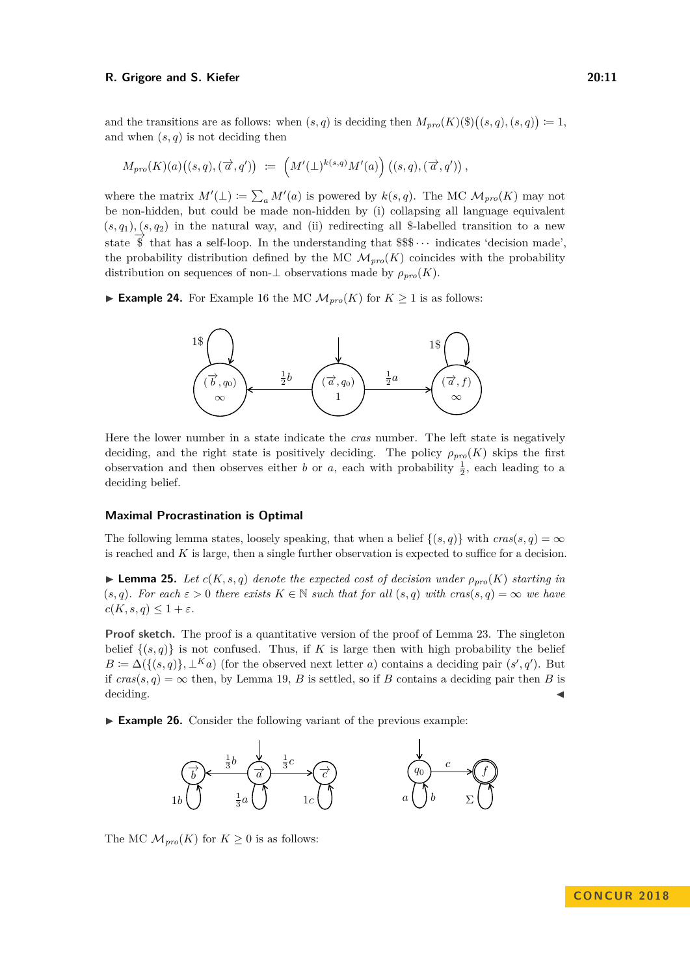and the transitions are as follows: when  $(s, q)$  is deciding then  $M_{pro}(K)(\text{F})((s, q), (s, q)) := 1$ , and when  $(s, q)$  is not deciding then

$$
M_{pro}(K)(a)\big((s,q),(\overrightarrow{a},q')\big) \; \coloneqq \; \Big(M'(\bot)^{k(s,q)}M'(a)\Big) \, \big((s,q),(\overrightarrow{a},q')\big)\,,
$$

where the matrix  $M'(\perp) := \sum_a M'(a)$  is powered by  $k(s, q)$ . The MC  $\mathcal{M}_{pro}(K)$  may not be non-hidden, but could be made non-hidden by (i) collapsing all language equivalent  $(s, q_1), (s, q_2)$  in the natural way, and (ii) redirecting all \$-labelled transition to a new state  $\overrightarrow{\$}$  that has a self-loop. In the understanding that  $\$\$\cdots$$  indicates 'decision made', the probability distribution defined by the MC  $\mathcal{M}_{prp}(K)$  coincides with the probability distribution on sequences of non- $\perp$  observations made by  $\rho_{\text{pro}}(K)$ .

► **Example 24.** For Example [16](#page-7-7) the MC  $\mathcal{M}_{pro}(K)$  for  $K \geq 1$  is as follows:



Here the lower number in a state indicate the *cras* number. The left state is negatively deciding, and the right state is positively deciding. The policy  $\rho_{pro}(K)$  skips the first observation and then observes either *b* or *a*, each with probability  $\frac{1}{2}$ , each leading to a deciding belief.

#### **Maximal Procrastination is Optimal**

The following lemma states, loosely speaking, that when a belief  $\{(s,q)\}\$  with  $cras(s,q) = \infty$ is reached and *K* is large, then a single further observation is expected to suffice for a decision.

<span id="page-10-0"></span> $\blacktriangleright$  **Lemma 25.** *Let*  $c(K, s, q)$  *denote the expected cost of decision under*  $\rho_{pro}(K)$  *starting in* (*s, q*). For each  $\varepsilon > 0$  there exists  $K \in \mathbb{N}$  such that for all  $(s, q)$  with  $cras(s, q) = \infty$  we have  $c(K, s, q) \leq 1 + \varepsilon$ *.* 

**Proof sketch.** The proof is a quantitative version of the proof of Lemma [23.](#page-9-0) The singleton belief  $\{(s,q)\}\$ is not confused. Thus, if K is large then with high probability the belief  $B \coloneqq \Delta(\{(s,q)\}, \perp^K a)$  (for the observed next letter *a*) contains a deciding pair  $(s', q')$ . But if  $cras(s, q) = \infty$  then, by Lemma [19,](#page-8-2) *B* is settled, so if *B* contains a deciding pair then *B* is deciding.

► **Example 26.** Consider the following variant of the previous example:



The MC  $\mathcal{M}_{pro}(K)$  for  $K \geq 0$  is as follows: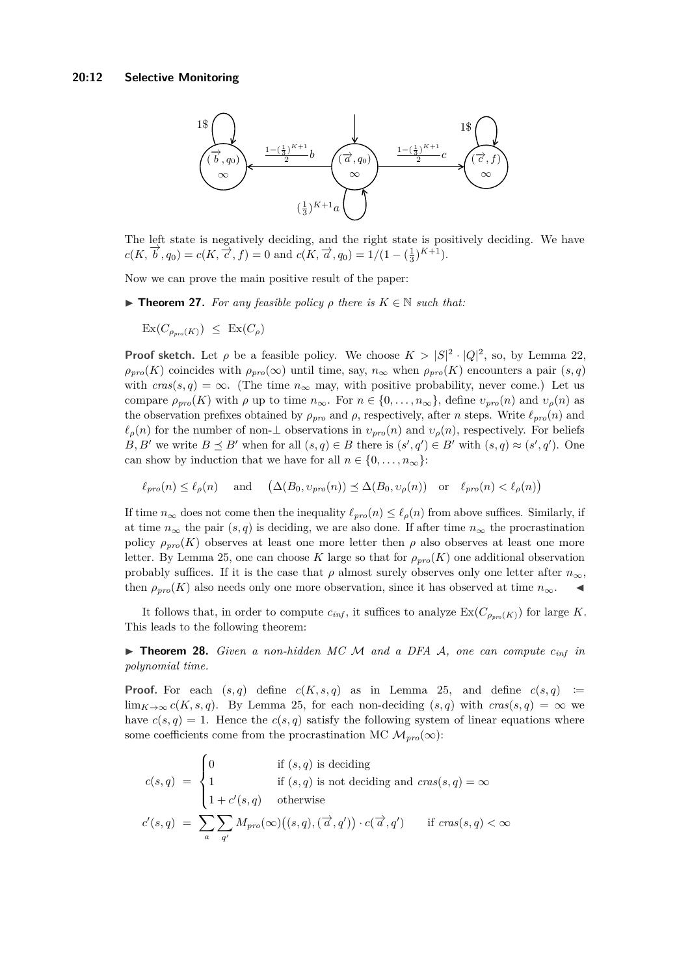

The left state is negatively deciding, and the right state is positively deciding. We have  $c(K, \vec{b}, q_0) = c(K, \vec{c}, f) = 0$  and  $c(K, \vec{a}, q_0) = 1/(1 - (\frac{1}{3})^{K+1}).$ 

<span id="page-11-0"></span>Now we can prove the main positive result of the paper:

**Find 17.** For any feasible policy  $\rho$  there is  $K \in \mathbb{N}$  such that:

 $\operatorname{Ex}(C_{\rho_{nm}(K)}) \leq \operatorname{Ex}(C_{\rho})$ 

**Proof sketch.** Let  $\rho$  be a feasible policy. We choose  $K > |S|^2 \cdot |Q|^2$ , so, by Lemma [22,](#page-8-0)  $\rho_{pro}(K)$  coincides with  $\rho_{pro}(\infty)$  until time, say,  $n_{\infty}$  when  $\rho_{pro}(K)$  encounters a pair  $(s, q)$ with  $cras(s, q) = \infty$ . (The time  $n_{\infty}$  may, with positive probability, never come.) Let us compare  $\rho_{pro}(K)$  with  $\rho$  up to time  $n_{\infty}$ . For  $n \in \{0, \ldots, n_{\infty}\}\)$ , define  $v_{pro}(n)$  and  $v_{\rho}(n)$  as the observation prefixes obtained by  $\rho_{pro}$  and  $\rho$ , respectively, after *n* steps. Write  $\ell_{pro}(n)$  and  $\ell_{\rho}(n)$  for the number of non-⊥ observations in  $v_{pro}(n)$  and  $v_{\rho}(n)$ , respectively. For beliefs *B*, *B*<sup> $\prime$ </sup> we write  $B \preceq B'$  when for all  $(s, q) \in B$  there is  $(s', q') \in B'$  with  $(s, q) \approx (s', q')$ . One can show by induction that we have for all  $n \in \{0, \ldots, n_{\infty}\}$ :

$$
\ell_{pro}(n) \le \ell_{\rho}(n) \quad \text{ and } \quad (\Delta(B_0, v_{pro}(n)) \le \Delta(B_0, v_{\rho}(n)) \quad \text{or} \quad \ell_{pro}(n) < \ell_{\rho}(n))
$$

If time  $n_{\infty}$  does not come then the inequality  $\ell_{pro}(n) \leq \ell_{\rho}(n)$  from above suffices. Similarly, if at time  $n_{\infty}$  the pair  $(s, q)$  is deciding, we are also done. If after time  $n_{\infty}$  the procrastination policy  $\rho_{pro}(K)$  observes at least one more letter then  $\rho$  also observes at least one more letter. By Lemma [25,](#page-10-0) one can choose *K* large so that for *ρpro*(*K*) one additional observation probably suffices. If it is the case that  $\rho$  almost surely observes only one letter after  $n_{\infty}$ , then  $\rho_{pro}(K)$  also needs only one more observation, since it has observed at time  $n_{\infty}$ .

It follows that, in order to compute  $c_{inf}$ , it suffices to analyze  $\text{Ex}(C_{\rho_{pro}(K)})$  for large K. This leads to the following theorem:

<span id="page-11-1"></span> $\triangleright$  **Theorem 28.** *Given a non-hidden MC M and a DFA A, one can compute*  $c_{inf}$  *in polynomial time.*

**Proof.** For each  $(s,q)$  define  $c(K,s,q)$  as in Lemma [25,](#page-10-0) and define  $c(s,q)$  := lim<sub>K→∞</sub>  $c(K, s, q)$ . By Lemma [25,](#page-10-0) for each non-deciding  $(s, q)$  with  $cras(s, q) = \infty$  we have  $c(s, q) = 1$ . Hence the  $c(s, q)$  satisfy the following system of linear equations where some coefficients come from the procrastination MC  $\mathcal{M}_{pro}(\infty)$ :

$$
c(s,q) = \begin{cases} 0 & \text{if } (s,q) \text{ is deciding} \\ 1 & \text{if } (s,q) \text{ is not deciding and } cras(s,q) = \infty \\ 1 + c'(s,q) & \text{otherwise} \end{cases}
$$

$$
c'(s,q) = \sum_{a} \sum_{q'} M_{pro}(\infty)((s,q), (\vec{a}, q')) \cdot c(\vec{a}, q') \quad \text{if } cras(s,q) < \infty
$$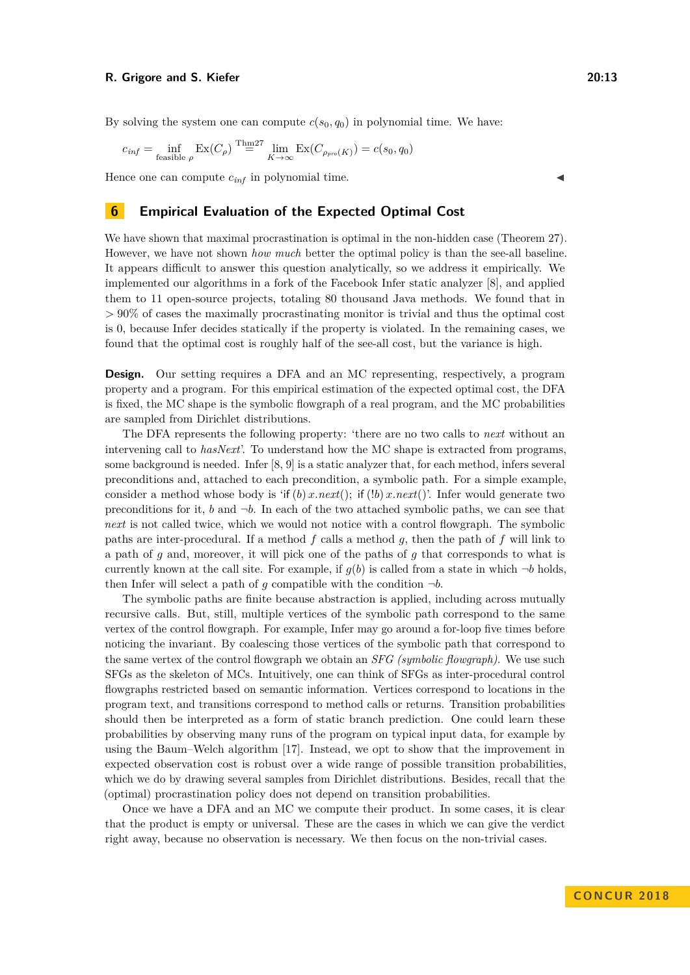By solving the system one can compute  $c(s_0, q_0)$  in polynomial time. We have:

$$
c_{\text{inf}} = \inf_{\text{feasible } \rho} \operatorname{Ex}(C_{\rho}) \stackrel{\text{Thm27}}{=} \lim_{K \to \infty} \operatorname{Ex}(C_{\rho_{\text{pro}}(K)}) = c(s_0, q_0)
$$

Hence one can compute  $c_{inf}$  in polynomial time.

## **6 Empirical Evaluation of the Expected Optimal Cost**

We have shown that maximal procrastination is optimal in the non-hidden case (Theorem [27\)](#page-11-0). However, we have not shown *how much* better the optimal policy is than the see-all baseline. It appears difficult to answer this question analytically, so we address it empirically. We implemented our algorithms in a fork of the Facebook Infer static analyzer [\[8\]](#page-14-4), and applied them to 11 open-source projects, totaling 80 thousand Java methods. We found that in *>* 90% of cases the maximally procrastinating monitor is trivial and thus the optimal cost is 0, because Infer decides statically if the property is violated. In the remaining cases, we found that the optimal cost is roughly half of the see-all cost, but the variance is high.

**Design.** Our setting requires a DFA and an MC representing, respectively, a program property and a program. For this empirical estimation of the expected optimal cost, the DFA is fixed, the MC shape is the symbolic flowgraph of a real program, and the MC probabilities are sampled from Dirichlet distributions.

The DFA represents the following property: 'there are no two calls to *next* without an intervening call to *hasNext*'. To understand how the MC shape is extracted from programs, some background is needed. Infer [\[8,](#page-14-4) [9\]](#page-14-5) is a static analyzer that, for each method, infers several preconditions and, attached to each precondition, a symbolic path. For a simple example, consider a method whose body is 'if  $(b) x.next()$ ; if  $(lb) x.next()$ . Infer would generate two preconditions for it,  $b$  and  $\neg b$ . In each of the two attached symbolic paths, we can see that *next* is not called twice, which we would not notice with a control flowgraph. The symbolic paths are inter-procedural. If a method *f* calls a method *g*, then the path of *f* will link to a path of *g* and, moreover, it will pick one of the paths of *g* that corresponds to what is currently known at the call site. For example, if  $g(b)$  is called from a state in which  $\neg b$  holds, then Infer will select a path of *q* compatible with the condition  $\neg b$ .

The symbolic paths are finite because abstraction is applied, including across mutually recursive calls. But, still, multiple vertices of the symbolic path correspond to the same vertex of the control flowgraph. For example, Infer may go around a for-loop five times before noticing the invariant. By coalescing those vertices of the symbolic path that correspond to the same vertex of the control flowgraph we obtain an *SFG (symbolic flowgraph)*. We use such SFGs as the skeleton of MCs. Intuitively, one can think of SFGs as inter-procedural control flowgraphs restricted based on semantic information. Vertices correspond to locations in the program text, and transitions correspond to method calls or returns. Transition probabilities should then be interpreted as a form of static branch prediction. One could learn these probabilities by observing many runs of the program on typical input data, for example by using the Baum–Welch algorithm [\[17\]](#page-15-8). Instead, we opt to show that the improvement in expected observation cost is robust over a wide range of possible transition probabilities, which we do by drawing several samples from Dirichlet distributions. Besides, recall that the (optimal) procrastination policy does not depend on transition probabilities.

Once we have a DFA and an MC we compute their product. In some cases, it is clear that the product is empty or universal. These are the cases in which we can give the verdict right away, because no observation is necessary. We then focus on the non-trivial cases.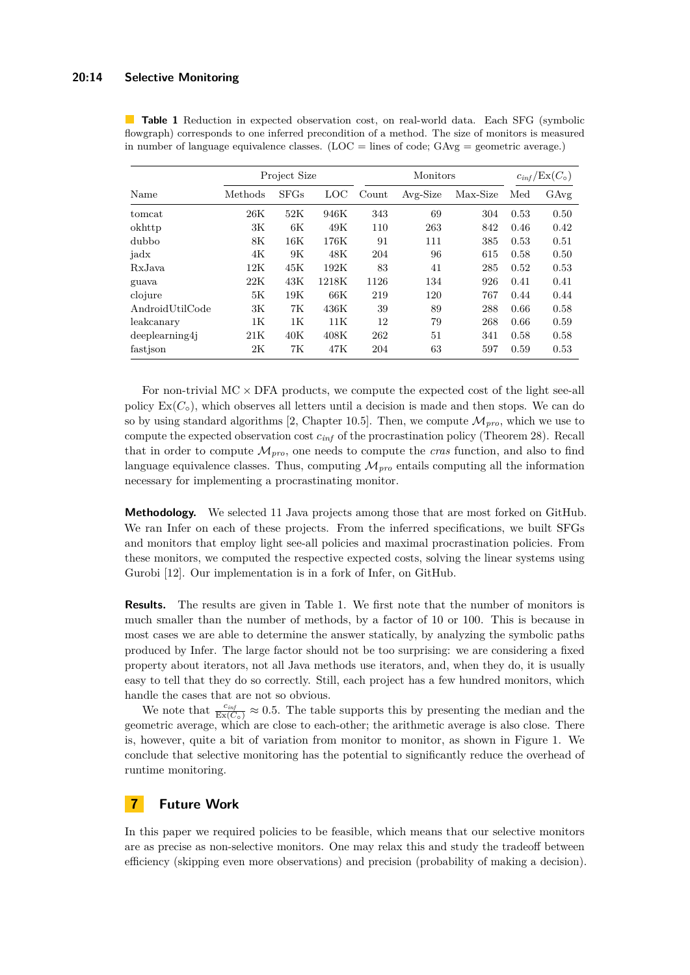#### **20:14 Selective Monitoring**

|                       | Project Size |             |       | Monitors |          |          | $c_{inf}/\text{Ex}(C_{\circ})$ |      |
|-----------------------|--------------|-------------|-------|----------|----------|----------|--------------------------------|------|
| Name                  | Methods      | <b>SFGs</b> | LOC   | Count    | Avg-Size | Max-Size | Med                            | GAvg |
| tomcat                | 26K          | 52K         | 946K  | 343      | 69       | 304      | 0.53                           | 0.50 |
| okhttp                | 3K           | 6K          | 49K   | 110      | 263      | 842      | 0.46                           | 0.42 |
| dubbo                 | 8K           | 16K         | 176K  | 91       | 111      | 385      | 0.53                           | 0.51 |
| jadx                  | 4K           | 9K          | 48K   | 204      | 96       | 615      | 0.58                           | 0.50 |
| RxJava                | 12K          | 45K         | 192K  | 83       | 41       | 285      | 0.52                           | 0.53 |
| guava                 | 22K          | 43K         | 1218K | 1126     | 134      | 926      | 0.41                           | 0.41 |
| clojure               | 5К           | 19K         | 66K   | 219      | 120      | 767      | 0.44                           | 0.44 |
| AndroidUtilCode       | 3K           | 7K          | 436K  | 39       | 89       | 288      | 0.66                           | 0.58 |
| leakcanary            | 1К           | 1К          | 11K   | 12       | 79       | 268      | 0.66                           | 0.59 |
| $dee$ eplearning4 $i$ | 21K          | 40K         | 408K  | 262      | 51       | 341      | 0.58                           | 0.58 |
| fastison              | 2K           | 7K          | 47K   | 204      | 63       | 597      | 0.59                           | 0.53 |

<span id="page-13-0"></span>**Table 1** Reduction in expected observation cost, on real-world data. Each SFG (symbolic flowgraph) corresponds to one inferred precondition of a method. The size of monitors is measured in number of language equivalence classes. ( $LOC = lines$  of code;  $GAvg = geometric$  average.)

For non-trivial  $MC \times DFA$  products, we compute the expected cost of the light see-all policy  $Ex(C<sub>o</sub>)$ , which observes all letters until a decision is made and then stops. We can do so by using standard algorithms [\[2,](#page-14-6) Chapter 10.5]. Then, we compute  $\mathcal{M}_{pro}$ , which we use to compute the expected observation cost *cinf* of the procrastination policy (Theorem [28\)](#page-11-1). Recall that in order to compute  $\mathcal{M}_{pro}$ , one needs to compute the *cras* function, and also to find language equivalence classes. Thus, computing  $\mathcal{M}_{pro}$  entails computing all the information necessary for implementing a procrastinating monitor.

**Methodology.** We selected 11 Java projects among those that are most forked on GitHub. We ran Infer on each of these projects. From the inferred specifications, we built SFGs and monitors that employ light see-all policies and maximal procrastination policies. From these monitors, we computed the respective expected costs, solving the linear systems using Gurobi [\[12\]](#page-15-9). Our implementation is in a fork of Infer, on GitHub.

**Results.** The results are given in Table [1.](#page-13-0) We first note that the number of monitors is much smaller than the number of methods, by a factor of 10 or 100. This is because in most cases we are able to determine the answer statically, by analyzing the symbolic paths produced by Infer. The large factor should not be too surprising: we are considering a fixed property about iterators, not all Java methods use iterators, and, when they do, it is usually easy to tell that they do so correctly. Still, each project has a few hundred monitors, which handle the cases that are not so obvious.

We note that  $\frac{c_{inf}}{Ex(C_{\circ})} \approx 0.5$ . The table supports this by presenting the median and the geometric average, which are close to each-other; the arithmetic average is also close. There is, however, quite a bit of variation from monitor to monitor, as shown in Figure [1.](#page-14-7) We conclude that selective monitoring has the potential to significantly reduce the overhead of runtime monitoring.

## **7 Future Work**

In this paper we required policies to be feasible, which means that our selective monitors are as precise as non-selective monitors. One may relax this and study the tradeoff between efficiency (skipping even more observations) and precision (probability of making a decision).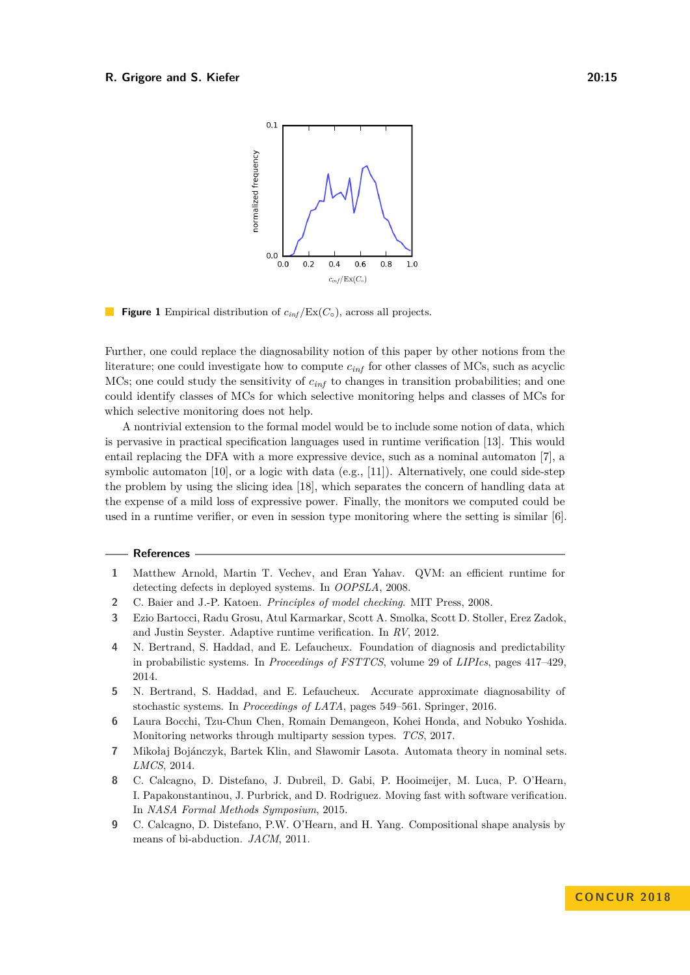<span id="page-14-7"></span>

L. **Figure 1** Empirical distribution of  $c_{inf}/\text{Ex}(C_{\circ})$ , across all projects.

Further, one could replace the diagnosability notion of this paper by other notions from the literature; one could investigate how to compute *cinf* for other classes of MCs, such as acyclic MCs; one could study the sensitivity of *cinf* to changes in transition probabilities; and one could identify classes of MCs for which selective monitoring helps and classes of MCs for which selective monitoring does not help.

A nontrivial extension to the formal model would be to include some notion of data, which is pervasive in practical specification languages used in runtime verification [\[13\]](#page-15-10). This would entail replacing the DFA with a more expressive device, such as a nominal automaton [\[7\]](#page-14-8), a symbolic automaton [\[10\]](#page-15-11), or a logic with data (e.g., [\[11\]](#page-15-12)). Alternatively, one could side-step the problem by using the slicing idea [\[18\]](#page-15-13), which separates the concern of handling data at the expense of a mild loss of expressive power. Finally, the monitors we computed could be used in a runtime verifier, or even in session type monitoring where the setting is similar [\[6\]](#page-14-9).

### **References**

- <span id="page-14-0"></span>**1** Matthew Arnold, Martin T. Vechev, and Eran Yahav. QVM: an efficient runtime for detecting defects in deployed systems. In *OOPSLA*, 2008.
- <span id="page-14-6"></span>**2** C. Baier and J.-P. Katoen. *Principles of model checking*. MIT Press, 2008.
- <span id="page-14-1"></span>**3** Ezio Bartocci, Radu Grosu, Atul Karmarkar, Scott A. Smolka, Scott D. Stoller, Erez Zadok, and Justin Seyster. Adaptive runtime verification. In *RV*, 2012.
- <span id="page-14-2"></span>**4** N. Bertrand, S. Haddad, and E. Lefaucheux. Foundation of diagnosis and predictability in probabilistic systems. In *Proceedings of FSTTCS*, volume 29 of *LIPIcs*, pages 417–429, 2014.
- <span id="page-14-3"></span>**5** N. Bertrand, S. Haddad, and E. Lefaucheux. Accurate approximate diagnosability of stochastic systems. In *Proceedings of LATA*, pages 549–561. Springer, 2016.
- <span id="page-14-9"></span>**6** Laura Bocchi, Tzu-Chun Chen, Romain Demangeon, Kohei Honda, and Nobuko Yoshida. Monitoring networks through multiparty session types. *TCS*, 2017.
- <span id="page-14-8"></span>**7** Mikołaj Bojánczyk, Bartek Klin, and Sławomir Lasota. Automata theory in nominal sets. *LMCS*, 2014.
- <span id="page-14-4"></span>**8** C. Calcagno, D. Distefano, J. Dubreil, D. Gabi, P. Hooimeijer, M. Luca, P. O'Hearn, I. Papakonstantinou, J. Purbrick, and D. Rodriguez. Moving fast with software verification. In *NASA Formal Methods Symposium*, 2015.
- <span id="page-14-5"></span>**9** C. Calcagno, D. Distefano, P.W. O'Hearn, and H. Yang. Compositional shape analysis by means of bi-abduction. *JACM*, 2011.